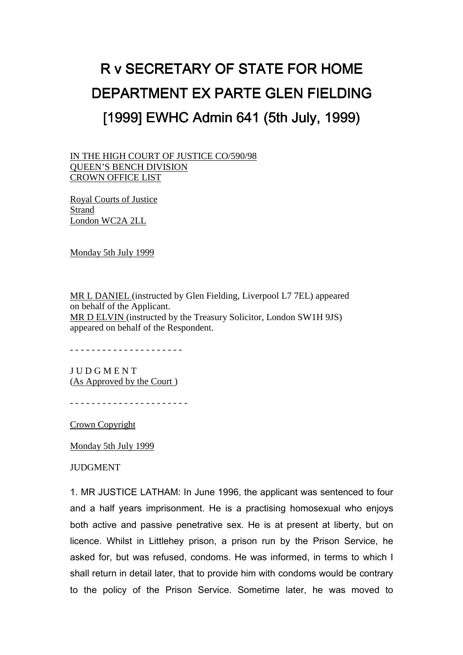## R v SECRETARY OF STATE FOR HOME DEPARTMENT EX PARTE GLEN FIELDING [1999] EWHC Admin 641 (5th July, 1999)

IN THE HIGH COURT OF JUSTICE CO/590/98 QUEEN'S BENCH DIVISION CROWN OFFICE LIST

Royal Courts of Justice Strand London WC2A 2LL

Monday 5th July 1999

MR L DANIEL (instructed by Glen Fielding, Liverpool L7 7EL) appeared on behalf of the Applicant. MR D ELVIN (instructed by the Treasury Solicitor, London SW1H 9JS) appeared on behalf of the Respondent.

- - - - - - - - - - - - - - - - - - - - -

J U D G M E N T (As Approved by the Court )

- - - - - - - - - - - - - - - - - - - - - -

Crown Copyright

Monday 5th July 1999

**JUDGMENT** 

1. MR JUSTICE LATHAM: In June 1996, the applicant was sentenced to four and a half years imprisonment. He is a practising homosexual who enjoys both active and passive penetrative sex. He is at present at liberty, but on licence. Whilst in Littlehey prison, a prison run by the Prison Service, he asked for, but was refused, condoms. He was informed, in terms to which I shall return in detail later, that to provide him with condoms would be contrary to the policy of the Prison Service. Sometime later, he was moved to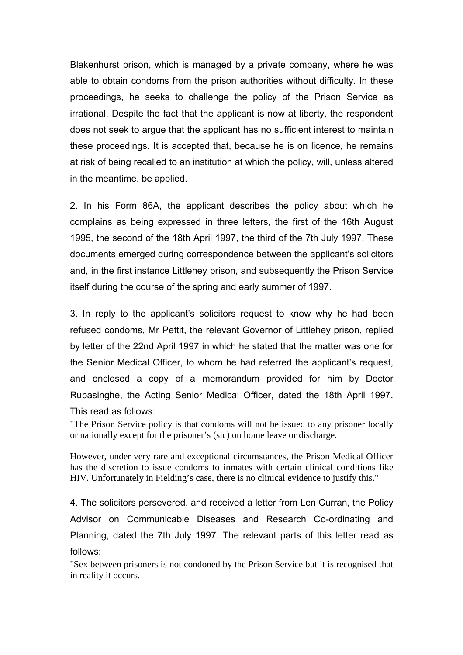Blakenhurst prison, which is managed by a private company, where he was able to obtain condoms from the prison authorities without difficulty. In these proceedings, he seeks to challenge the policy of the Prison Service as irrational. Despite the fact that the applicant is now at liberty, the respondent does not seek to argue that the applicant has no sufficient interest to maintain these proceedings. It is accepted that, because he is on licence, he remains at risk of being recalled to an institution at which the policy, will, unless altered in the meantime, be applied.

2. In his Form 86A, the applicant describes the policy about which he complains as being expressed in three letters, the first of the 16th August 1995, the second of the 18th April 1997, the third of the 7th July 1997. These documents emerged during correspondence between the applicant's solicitors and, in the first instance Littlehey prison, and subsequently the Prison Service itself during the course of the spring and early summer of 1997.

3. In reply to the applicant's solicitors request to know why he had been refused condoms, Mr Pettit, the relevant Governor of Littlehey prison, replied by letter of the 22nd April 1997 in which he stated that the matter was one for the Senior Medical Officer, to whom he had referred the applicant's request, and enclosed a copy of a memorandum provided for him by Doctor Rupasinghe, the Acting Senior Medical Officer, dated the 18th April 1997. This read as follows:

"The Prison Service policy is that condoms will not be issued to any prisoner locally or nationally except for the prisoner's (sic) on home leave or discharge.

However, under very rare and exceptional circumstances, the Prison Medical Officer has the discretion to issue condoms to inmates with certain clinical conditions like HIV. Unfortunately in Fielding's case, there is no clinical evidence to justify this."

4. The solicitors persevered, and received a letter from Len Curran, the Policy Advisor on Communicable Diseases and Research Co-ordinating and Planning, dated the 7th July 1997. The relevant parts of this letter read as follows:

"Sex between prisoners is not condoned by the Prison Service but it is recognised that in reality it occurs.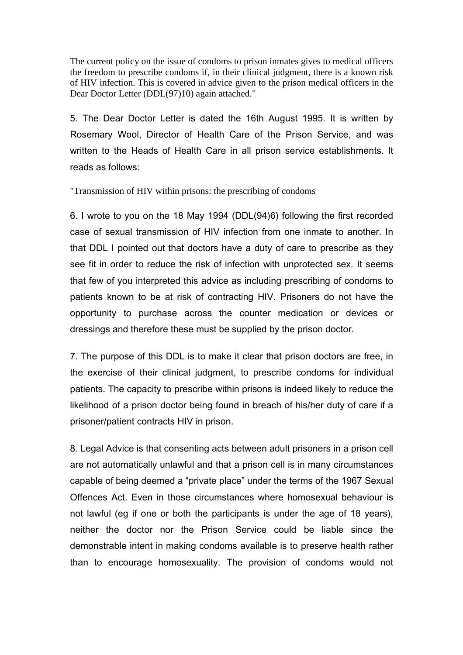The current policy on the issue of condoms to prison inmates gives to medical officers the freedom to prescribe condoms if, in their clinical judgment, there is a known risk of HIV infection. This is covered in advice given to the prison medical officers in the Dear Doctor Letter (DDL(97)10) again attached."

5. The Dear Doctor Letter is dated the 16th August 1995. It is written by Rosemary Wool, Director of Health Care of the Prison Service, and was written to the Heads of Health Care in all prison service establishments. It reads as follows:

## "Transmission of HIV within prisons: the prescribing of condoms

6. I wrote to you on the 18 May 1994 (DDL(94)6) following the first recorded case of sexual transmission of HIV infection from one inmate to another. In that DDL I pointed out that doctors have a duty of care to prescribe as they see fit in order to reduce the risk of infection with unprotected sex. It seems that few of you interpreted this advice as including prescribing of condoms to patients known to be at risk of contracting HIV. Prisoners do not have the opportunity to purchase across the counter medication or devices or dressings and therefore these must be supplied by the prison doctor.

7. The purpose of this DDL is to make it clear that prison doctors are free, in the exercise of their clinical judgment, to prescribe condoms for individual patients. The capacity to prescribe within prisons is indeed likely to reduce the likelihood of a prison doctor being found in breach of his/her duty of care if a prisoner/patient contracts HIV in prison.

8. Legal Advice is that consenting acts between adult prisoners in a prison cell are not automatically unlawful and that a prison cell is in many circumstances capable of being deemed a "private place" under the terms of the 1967 Sexual Offences Act. Even in those circumstances where homosexual behaviour is not lawful (eg if one or both the participants is under the age of 18 years), neither the doctor nor the Prison Service could be liable since the demonstrable intent in making condoms available is to preserve health rather than to encourage homosexuality. The provision of condoms would not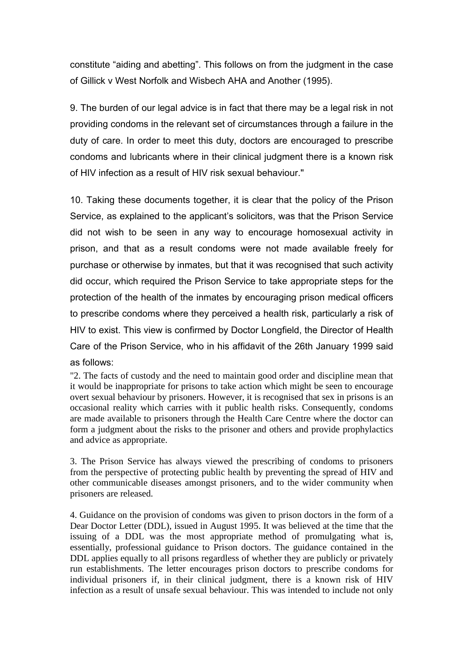constitute "aiding and abetting". This follows on from the judgment in the case of Gillick v West Norfolk and Wisbech AHA and Another (1995).

9. The burden of our legal advice is in fact that there may be a legal risk in not providing condoms in the relevant set of circumstances through a failure in the duty of care. In order to meet this duty, doctors are encouraged to prescribe condoms and lubricants where in their clinical judgment there is a known risk of HIV infection as a result of HIV risk sexual behaviour."

10. Taking these documents together, it is clear that the policy of the Prison Service, as explained to the applicant's solicitors, was that the Prison Service did not wish to be seen in any way to encourage homosexual activity in prison, and that as a result condoms were not made available freely for purchase or otherwise by inmates, but that it was recognised that such activity did occur, which required the Prison Service to take appropriate steps for the protection of the health of the inmates by encouraging prison medical officers to prescribe condoms where they perceived a health risk, particularly a risk of HIV to exist. This view is confirmed by Doctor Longfield, the Director of Health Care of the Prison Service, who in his affidavit of the 26th January 1999 said as follows:

"2. The facts of custody and the need to maintain good order and discipline mean that it would be inappropriate for prisons to take action which might be seen to encourage overt sexual behaviour by prisoners. However, it is recognised that sex in prisons is an occasional reality which carries with it public health risks. Consequently, condoms are made available to prisoners through the Health Care Centre where the doctor can form a judgment about the risks to the prisoner and others and provide prophylactics and advice as appropriate.

3. The Prison Service has always viewed the prescribing of condoms to prisoners from the perspective of protecting public health by preventing the spread of HIV and other communicable diseases amongst prisoners, and to the wider community when prisoners are released.

4. Guidance on the provision of condoms was given to prison doctors in the form of a Dear Doctor Letter (DDL), issued in August 1995. It was believed at the time that the issuing of a DDL was the most appropriate method of promulgating what is, essentially, professional guidance to Prison doctors. The guidance contained in the DDL applies equally to all prisons regardless of whether they are publicly or privately run establishments. The letter encourages prison doctors to prescribe condoms for individual prisoners if, in their clinical judgment, there is a known risk of HIV infection as a result of unsafe sexual behaviour. This was intended to include not only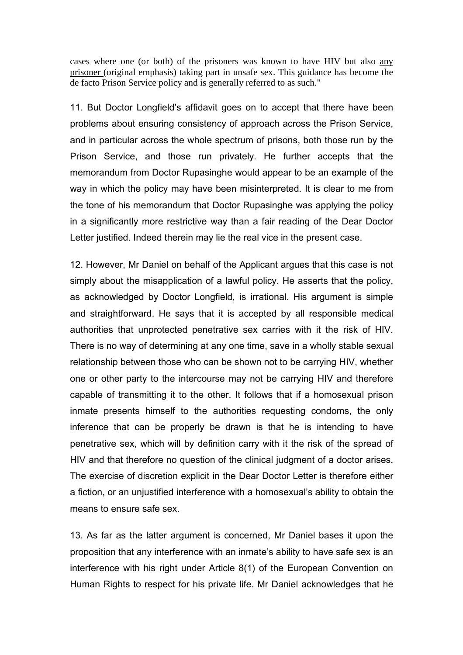cases where one (or both) of the prisoners was known to have HIV but also any prisoner (original emphasis) taking part in unsafe sex. This guidance has become the de facto Prison Service policy and is generally referred to as such."

11. But Doctor Longfield's affidavit goes on to accept that there have been problems about ensuring consistency of approach across the Prison Service, and in particular across the whole spectrum of prisons, both those run by the Prison Service, and those run privately. He further accepts that the memorandum from Doctor Rupasinghe would appear to be an example of the way in which the policy may have been misinterpreted. It is clear to me from the tone of his memorandum that Doctor Rupasinghe was applying the policy in a significantly more restrictive way than a fair reading of the Dear Doctor Letter justified. Indeed therein may lie the real vice in the present case.

12. However, Mr Daniel on behalf of the Applicant argues that this case is not simply about the misapplication of a lawful policy. He asserts that the policy, as acknowledged by Doctor Longfield, is irrational. His argument is simple and straightforward. He says that it is accepted by all responsible medical authorities that unprotected penetrative sex carries with it the risk of HIV. There is no way of determining at any one time, save in a wholly stable sexual relationship between those who can be shown not to be carrying HIV, whether one or other party to the intercourse may not be carrying HIV and therefore capable of transmitting it to the other. It follows that if a homosexual prison inmate presents himself to the authorities requesting condoms, the only inference that can be properly be drawn is that he is intending to have penetrative sex, which will by definition carry with it the risk of the spread of HIV and that therefore no question of the clinical judgment of a doctor arises. The exercise of discretion explicit in the Dear Doctor Letter is therefore either a fiction, or an unjustified interference with a homosexual's ability to obtain the means to ensure safe sex.

13. As far as the latter argument is concerned, Mr Daniel bases it upon the proposition that any interference with an inmate's ability to have safe sex is an interference with his right under Article 8(1) of the European Convention on Human Rights to respect for his private life. Mr Daniel acknowledges that he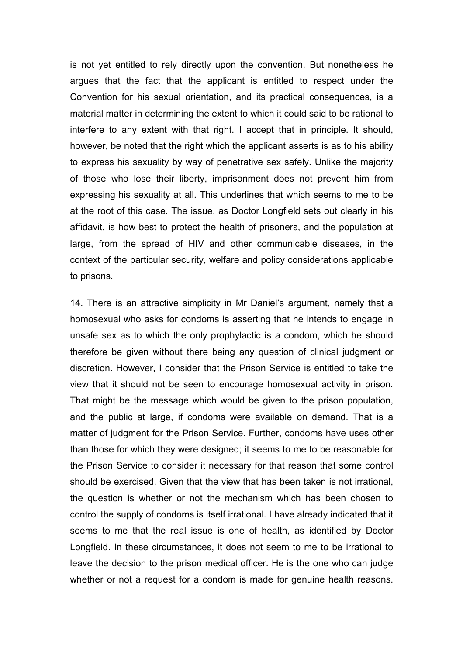is not yet entitled to rely directly upon the convention. But nonetheless he argues that the fact that the applicant is entitled to respect under the Convention for his sexual orientation, and its practical consequences, is a material matter in determining the extent to which it could said to be rational to interfere to any extent with that right. I accept that in principle. It should, however, be noted that the right which the applicant asserts is as to his ability to express his sexuality by way of penetrative sex safely. Unlike the majority of those who lose their liberty, imprisonment does not prevent him from expressing his sexuality at all. This underlines that which seems to me to be at the root of this case. The issue, as Doctor Longfield sets out clearly in his affidavit, is how best to protect the health of prisoners, and the population at large, from the spread of HIV and other communicable diseases, in the context of the particular security, welfare and policy considerations applicable to prisons.

14. There is an attractive simplicity in Mr Daniel's argument, namely that a homosexual who asks for condoms is asserting that he intends to engage in unsafe sex as to which the only prophylactic is a condom, which he should therefore be given without there being any question of clinical judgment or discretion. However, I consider that the Prison Service is entitled to take the view that it should not be seen to encourage homosexual activity in prison. That might be the message which would be given to the prison population, and the public at large, if condoms were available on demand. That is a matter of judgment for the Prison Service. Further, condoms have uses other than those for which they were designed; it seems to me to be reasonable for the Prison Service to consider it necessary for that reason that some control should be exercised. Given that the view that has been taken is not irrational, the question is whether or not the mechanism which has been chosen to control the supply of condoms is itself irrational. I have already indicated that it seems to me that the real issue is one of health, as identified by Doctor Longfield. In these circumstances, it does not seem to me to be irrational to leave the decision to the prison medical officer. He is the one who can judge whether or not a request for a condom is made for genuine health reasons.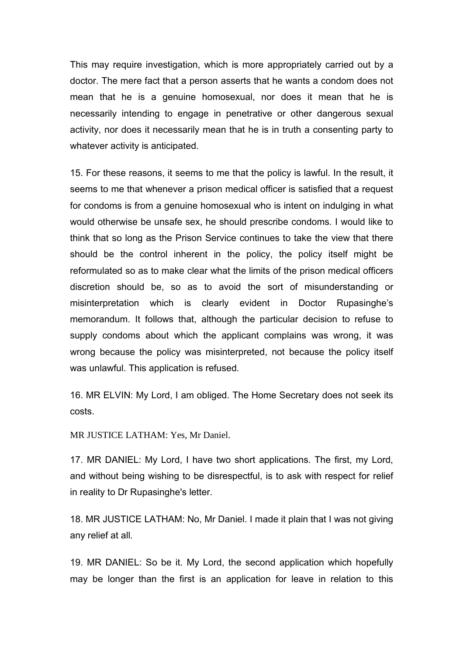This may require investigation, which is more appropriately carried out by a doctor. The mere fact that a person asserts that he wants a condom does not mean that he is a genuine homosexual, nor does it mean that he is necessarily intending to engage in penetrative or other dangerous sexual activity, nor does it necessarily mean that he is in truth a consenting party to whatever activity is anticipated.

15. For these reasons, it seems to me that the policy is lawful. In the result, it seems to me that whenever a prison medical officer is satisfied that a request for condoms is from a genuine homosexual who is intent on indulging in what would otherwise be unsafe sex, he should prescribe condoms. I would like to think that so long as the Prison Service continues to take the view that there should be the control inherent in the policy, the policy itself might be reformulated so as to make clear what the limits of the prison medical officers discretion should be, so as to avoid the sort of misunderstanding or misinterpretation which is clearly evident in Doctor Rupasinghe's memorandum. It follows that, although the particular decision to refuse to supply condoms about which the applicant complains was wrong, it was wrong because the policy was misinterpreted, not because the policy itself was unlawful. This application is refused.

16. MR ELVIN: My Lord, I am obliged. The Home Secretary does not seek its costs.

MR JUSTICE LATHAM: Yes, Mr Daniel.

17. MR DANIEL: My Lord, I have two short applications. The first, my Lord, and without being wishing to be disrespectful, is to ask with respect for relief in reality to Dr Rupasinghe's letter.

18. MR JUSTICE LATHAM: No, Mr Daniel. I made it plain that I was not giving any relief at all.

19. MR DANIEL: So be it. My Lord, the second application which hopefully may be longer than the first is an application for leave in relation to this